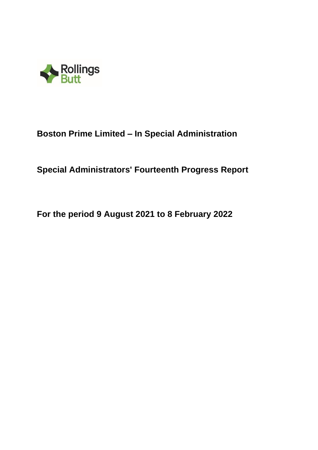

# **Boston Prime Limited – In Special Administration**

# **Special Administrators' Fourteenth Progress Report**

**For the period 9 August 2021 to 8 February 2022**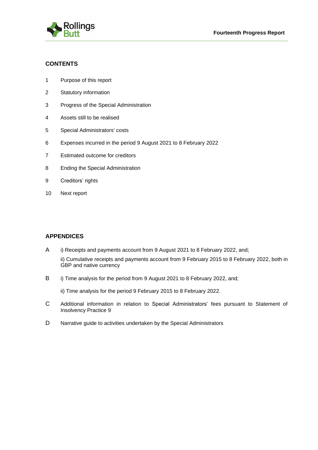

# **CONTENTS**

- 1 Purpose of this report
- 2 Statutory information
- 3 Progress of the Special Administration
- 4 Assets still to be realised
- 5 Special Administrators' costs
- 6 Expenses incurred in the period 9 August 2021 to 8 February 2022
- 7 Estimated outcome for creditors
- 8 Ending the Special Administration
- 9 Creditors' rights
- 10 Next report

# **APPENDICES**

- A i) Receipts and payments account from 9 August 2021 to 8 February 2022, and;
	- ii) Cumulative receipts and payments account from 9 February 2015 to 8 February 2022, both in GBP and native currency
- B i) Time analysis for the period from 9 August 2021 to 8 February 2022, and;

ii) Time analysis for the period 9 February 2015 to 8 February 2022.

- C Additional information in relation to Special Administrators' fees pursuant to Statement of Insolvency Practice 9
- D Narrative guide to activities undertaken by the Special Administrators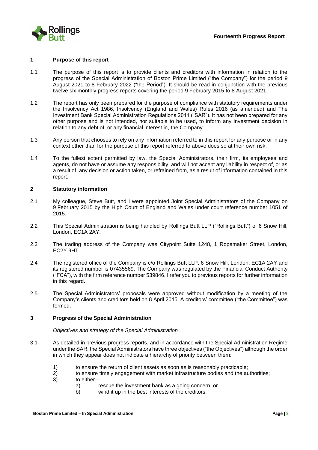

#### **1 Purpose of this report**

- 1.1 The purpose of this report is to provide clients and creditors with information in relation to the progress of the Special Administration of Boston Prime Limited ("the Company") for the period 9 August 2021 to 8 February 2022 ("the Period"). It should be read in conjunction with the previous twelve six monthly progress reports covering the period 9 February 2015 to 8 August 2021.
- 1.2 The report has only been prepared for the purpose of compliance with statutory requirements under the Insolvency Act 1986, Insolvency (England and Wales) Rules 2016 (as amended) and The Investment Bank Special Administration Regulations 2011 ("SAR"). It has not been prepared for any other purpose and is not intended, nor suitable to be used, to inform any investment decision in relation to any debt of, or any financial interest in, the Company.
- 1.3 Any person that chooses to rely on any information referred to in this report for any purpose or in any context other than for the purpose of this report referred to above does so at their own risk.
- 1.4 To the fullest extent permitted by law, the Special Administrators, their firm, its employees and agents, do not have or assume any responsibility, and will not accept any liability in respect of, or as a result of, any decision or action taken, or refrained from, as a result of information contained in this report.

#### **2 Statutory information**

- 2.1 My colleague, Steve Butt, and I were appointed Joint Special Administrators of the Company on 9 February 2015 by the High Court of England and Wales under court reference number 1051 of 2015.
- 2.2 This Special Administration is being handled by Rollings Butt LLP ("Rollings Butt") of 6 Snow Hill, London, EC1A 2AY.
- 2.3 The trading address of the Company was Citypoint Suite 1248, 1 Ropemaker Street, London, EC2Y 9HT.
- 2.4 The registered office of the Company is c/o Rollings Butt LLP, 6 Snow Hill, London, EC1A 2AY and its registered number is 07435569. The Company was regulated by the Financial Conduct Authority ("FCA"), with the firm reference number 539846. I refer you to previous reports for further information in this regard.
- 2.5 The Special Administrators' proposals were approved without modification by a meeting of the Company's clients and creditors held on 8 April 2015. A creditors' committee ("the Committee") was formed.

#### **3 Progress of the Special Administration**

#### *Objectives and strategy of the Special Administration*

- 3.1 As detailed in previous progress reports, and in accordance with the Special Administration Regime under the SAR, the Special Administrators have three objectives ("the Objectives") although the order in which they appear does not indicate a hierarchy of priority between them:
	- 1) to ensure the return of client assets as soon as is reasonably practicable;
	- 2) to ensure timely engagement with market infrastructure bodies and the authorities;
	- 3) to either
		- a) rescue the investment bank as a going concern, or
		- b) wind it up in the best interests of the creditors.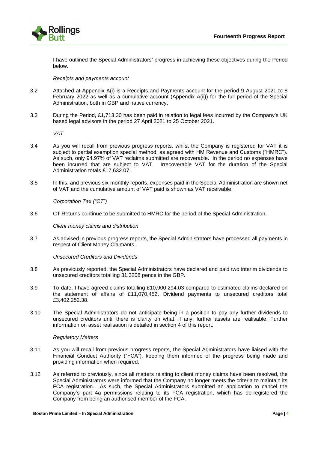

I have outlined the Special Administrators' progress in achieving these objectives during the Period below.

#### *Receipts and payments account*

- 3.2 Attached at Appendix A(i) is a Receipts and Payments account for the period 9 August 2021 to 8 February 2022 as well as a cumulative account (Appendix A(ii)) for the full period of the Special Administration, both in GBP and native currency.
- 3.3 During the Period, £1,713.30 has been paid in relation to legal fees incurred by the Company's UK based legal advisors in the period 27 April 2021 to 25 October 2021.

*VAT* 

- 3.4 As you will recall from previous progress reports, whilst the Company is registered for VAT it is subject to partial exemption special method, as agreed with HM Revenue and Customs ("HMRC"). As such, only 94.97% of VAT reclaims submitted are recoverable. In the period no expenses have been incurred that are subject to VAT. Irrecoverable VAT for the duration of the Special Administration totals £17,632.07.
- 3.5 In this, and previous six-monthly reports, expenses paid in the Special Administration are shown net of VAT and the cumulative amount of VAT paid is shown as VAT receivable.

*Corporation Tax ("CT")*

3.6 CT Returns continue to be submitted to HMRC for the period of the Special Administration.

*Client money claims and distribution*

3.7 As advised in previous progress reports, the Special Administrators have processed all payments in respect of Client Money Claimants.

*Unsecured Creditors and Dividends*

- 3.8 As previously reported, the Special Administrators have declared and paid two interim dividends to unsecured creditors totalling 31.3208 pence in the GBP.
- 3.9 To date, I have agreed claims totalling £10,900,294.03 compared to estimated claims declared on the statement of affairs of £11,070,452. Dividend payments to unsecured creditors total £3,402,252.38.
- 3.10 The Special Administrators do not anticipate being in a position to pay any further dividends to unsecured creditors until there is clarity on what, if any, further assets are realisable. Further information on asset realisation is detailed in section 4 of this report.

#### *Regulatory Matters*

- 3.11 As you will recall from previous progress reports, the Special Administrators have liaised with the Financial Conduct Authority ("FCA"), keeping them informed of the progress being made and providing information when required.
- 3.12 As referred to previously, since all matters relating to client money claims have been resolved, the Special Administrators were informed that the Company no longer meets the criteria to maintain its FCA registration. As such, the Special Administrators submitted an application to cancel the Company's part 4a permissions relating to its FCA registration, which has de-registered the Company from being an authorised member of the FCA.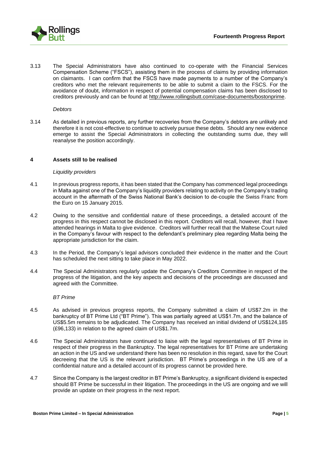

3.13 The Special Administrators have also continued to co-operate with the Financial Services Compensation Scheme ("FSCS"), assisting them in the process of claims by providing information on claimants. I can confirm that the FSCS have made payments to a number of the Company's creditors who met the relevant requirements to be able to submit a claim to the FSCS. For the avoidance of doubt, information in respect of potential compensation claims has been disclosed to creditors previously and can be found at [http://www.rollingsbutt.com/case-documents/bostonprime.](http://www.rollingsbutt.com/case-documents/bostonprime)

#### *Debtors*

3.14 As detailed in previous reports, any further recoveries from the Company's debtors are unlikely and therefore it is not cost-effective to continue to actively pursue these debts. Should any new evidence emerge to assist the Special Administrators in collecting the outstanding sums due, they will reanalyse the position accordingly.

#### **4 Assets still to be realised**

#### *Liquidity providers*

- 4.1 In previous progress reports, it has been stated that the Company has commenced legal proceedings in Malta against one of the Company's liquidity providers relating to activity on the Company's trading account in the aftermath of the Swiss National Bank's decision to de-couple the Swiss Franc from the Euro on 15 January 2015.
- 4.2 Owing to the sensitive and confidential nature of these proceedings, a detailed account of the progress in this respect cannot be disclosed in this report. Creditors will recall, however, that I have attended hearings in Malta to give evidence. Creditors will further recall that the Maltese Court ruled in the Company's favour with respect to the defendant's preliminary plea regarding Malta being the appropriate jurisdiction for the claim.
- 4.3 In the Period, the Company's legal advisors concluded their evidence in the matter and the Court has scheduled the next sitting to take place in May 2022.
- 4.4 The Special Administrators regularly update the Company's Creditors Committee in respect of the progress of the litigation, and the key aspects and decisions of the proceedings are discussed and agreed with the Committee.

#### *BT Prime*

- 4.5 As advised in previous progress reports, the Company submitted a claim of US\$7.2m in the bankruptcy of BT Prime Ltd ("BT Prime"). This was partially agreed at US\$1.7m, and the balance of US\$5.5m remains to be adjudicated. The Company has received an initial dividend of US\$124,185 (£96,133) in relation to the agreed claim of US\$1.7m.
- 4.6 The Special Administrators have continued to liaise with the legal representatives of BT Prime in respect of their progress in the Bankruptcy. The legal representatives for BT Prime are undertaking an action in the US and we understand there has been no resolution in this regard, save for the Court decreeing that the US is the relevant jurisdiction. BT Prime's proceedings in the US are of a confidential nature and a detailed account of its progress cannot be provided here.
- 4.7 Since the Company is the largest creditor in BT Prime's Bankruptcy, a significant dividend is expected should BT Prime be successful in their litigation. The proceedings in the US are ongoing and we will provide an update on their progress in the next report.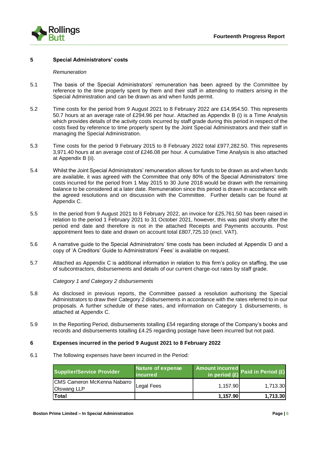

#### **5 Special Administrators' costs**

#### *Remuneration*

- 5.1 The basis of the Special Administrators' remuneration has been agreed by the Committee by reference to the time properly spent by them and their staff in attending to matters arising in the Special Administration and can be drawn as and when funds permit.
- 5.2 Time costs for the period from 9 August 2021 to 8 February 2022 are £14,954.50. This represents 50.7 hours at an average rate of £294.96 per hour. Attached as Appendix B (i) is a Time Analysis which provides details of the activity costs incurred by staff grade during this period in respect of the costs fixed by reference to time properly spent by the Joint Special Administrators and their staff in managing the Special Administration.
- 5.3 Time costs for the period 9 February 2015 to 8 February 2022 total £977,282.50. This represents 3,971.40 hours at an average cost of £246.08 per hour. A cumulative Time Analysis is also attached at Appendix B (ii).
- 5.4 Whilst the Joint Special Administrators' remuneration allows for funds to be drawn as and when funds are available, it was agreed with the Committee that only 80% of the Special Administrators' time costs incurred for the period from 1 May 2015 to 30 June 2018 would be drawn with the remaining balance to be considered at a later date. Remuneration since this period is drawn in accordance with the agreed resolutions and on discussion with the Committee. Further details can be found at Appendix C.
- 5.5 In the period from 9 August 2021 to 8 February 2022, an invoice for £25,761.50 has been raised in relation to the period 1 February 2021 to 31 October 2021, however, this was paid shortly after the period end date and therefore is not in the attached Receipts and Payments accounts. Post appointment fees to date and drawn on account total £807,725.10 (excl. VAT).
- 5.6 A narrative guide to the Special Administrators' time costs has been included at Appendix D and a copy of 'A Creditors' Guide to Administrators' Fees' is available on request.
- 5.7 Attached as Appendix C is additional information in relation to this firm's policy on staffing, the use of subcontractors, disbursements and details of our current charge-out rates by staff grade.

*Category 1 and Category 2 disbursements*

- 5.8 As disclosed in previous reports, the Committee passed a resolution authorising the Special Administrators to draw their Category 2 disbursements in accordance with the rates referred to in our proposals. A further schedule of these rates, and information on Category 1 disbursements, is attached at Appendix C.
- 5.9 In the Reporting Period, disbursements totalling £54 regarding storage of the Company's books and records and disbursements totalling £4.25 regarding postage have been incurred but not paid.

#### **6 Expenses incurred in the period 9 August 2021 to 8 February 2022**

6.1 The following expenses have been incurred in the Period:

| <b>Supplier/Service Provider</b>                  | Nature of expense<br>incurred | Amount incurred<br>in period $(E)$ Paid in Period $(E)$ |          |
|---------------------------------------------------|-------------------------------|---------------------------------------------------------|----------|
| CMS Cameron McKenna Nabarro<br><b>Olswang LLP</b> | Legal Fees                    | 1.157.90                                                | 1,713.30 |
| Total                                             |                               | 1,157.90                                                | 1,713.30 |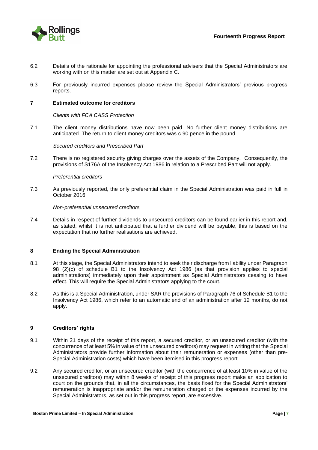

- 6.2 Details of the rationale for appointing the professional advisers that the Special Administrators are working with on this matter are set out at Appendix C.
- 6.3 For previously incurred expenses please review the Special Administrators' previous progress reports.

#### **7 Estimated outcome for creditors**

*Clients with FCA CASS Protection*

7.1 The client money distributions have now been paid. No further client money distributions are anticipated. The return to client money creditors was c.90 pence in the pound.

*Secured creditors and Prescribed Part*

7.2 There is no registered security giving charges over the assets of the Company. Consequently, the provisions of S176A of the Insolvency Act 1986 in relation to a Prescribed Part will not apply.

#### *Preferential creditors*

7.3 As previously reported, the only preferential claim in the Special Administration was paid in full in October 2016.

#### *Non-preferential unsecured creditors*

7.4 Details in respect of further dividends to unsecured creditors can be found earlier in this report and, as stated, whilst it is not anticipated that a further dividend will be payable, this is based on the expectation that no further realisations are achieved.

#### **8 Ending the Special Administration**

- 8.1 At this stage, the Special Administrators intend to seek their discharge from liability under Paragraph 98 (2)(c) of schedule B1 to the Insolvency Act 1986 (as that provision applies to special administrations) immediately upon their appointment as Special Administrators ceasing to have effect. This will require the Special Administrators applying to the court.
- 8.2 As this is a Special Administration, under SAR the provisions of Paragraph 76 of Schedule B1 to the Insolvency Act 1986, which refer to an automatic end of an administration after 12 months, do not apply.

#### **9 Creditors' rights**

- 9.1 Within 21 days of the receipt of this report, a secured creditor, or an unsecured creditor (with the concurrence of at least 5% in value of the unsecured creditors) may request in writing that the Special Administrators provide further information about their remuneration or expenses (other than pre-Special Administration costs) which have been itemised in this progress report.
- 9.2 Any secured creditor, or an unsecured creditor (with the concurrence of at least 10% in value of the unsecured creditors) may within 8 weeks of receipt of this progress report make an application to court on the grounds that, in all the circumstances, the basis fixed for the Special Administrators' remuneration is inappropriate and/or the remuneration charged or the expenses incurred by the Special Administrators, as set out in this progress report, are excessive.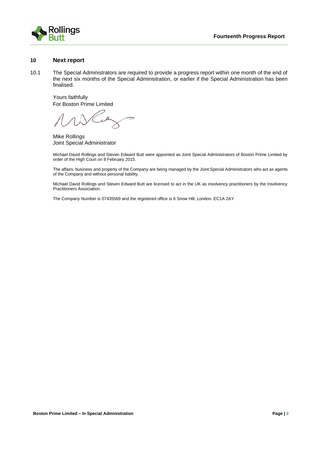

#### **10 Next report**

10.1 The Special Administrators are required to provide a progress report within one month of the end of the next six months of the Special Administration, or earlier if the Special Administration has been finalised.

Yours faithfully For Boston Prime Limited

 $\ell$ 

Mike Rollings Joint Special Administrator

Michael David Rollings and Steven Edward Butt were appointed as Joint Special Administrators of Boston Prime Limited by order of the High Court on 9 February 2015.

The affairs, business and property of the Company are being managed by the Joint Special Administrators who act as agents of the Company and without personal liability.

Michael David Rollings and Steven Edward Butt are licensed to act in the UK as insolvency practitioners by the Insolvency Practitioners Association.

The Company Number is 07435569 and the registered office is 6 Snow Hill, London. EC1A 2AY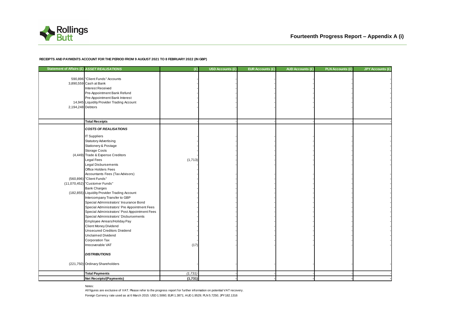

#### **RECEIPTS AND PAYMENTS ACCOUNT FOR THE PERIOD FROM 9 AUGUST 2021 TO 8 FEBRUARY 2022 (IN GBP)**

|                   | Statement of Affairs (£) ASSET REALISATIONS                                                                                                                                                                                                                                                                                                                                                                                                                                                                                                                                                                                                                                                                                                                                                                                         | (E)             | <b>USD Accounts (£)</b> | <b>EUR Accounts (£)</b> | <b>AUD Accounts (£)</b> | <b>PLN Accounts (£)</b> | <b>JPY Accounts (£)</b> |
|-------------------|-------------------------------------------------------------------------------------------------------------------------------------------------------------------------------------------------------------------------------------------------------------------------------------------------------------------------------------------------------------------------------------------------------------------------------------------------------------------------------------------------------------------------------------------------------------------------------------------------------------------------------------------------------------------------------------------------------------------------------------------------------------------------------------------------------------------------------------|-----------------|-------------------------|-------------------------|-------------------------|-------------------------|-------------------------|
| 2,194,248 Debtors | 590,896 "Client Funds" Accounts<br>3,890,559 Cash at Bank<br>Interest Received<br>Pre-Appointment Bank Refund<br>Pre-Appointment Bank Interest<br>14,945 Liquidity Provider Trading Account                                                                                                                                                                                                                                                                                                                                                                                                                                                                                                                                                                                                                                         |                 |                         |                         |                         |                         |                         |
|                   | <b>Total Receipts</b>                                                                                                                                                                                                                                                                                                                                                                                                                                                                                                                                                                                                                                                                                                                                                                                                               |                 |                         |                         |                         |                         |                         |
|                   | <b>COSTS OF REALISATIONS</b><br>IT Suppliers<br>Statutory Advertising<br>Stationery & Postage<br>Storage Costs<br>(4,449) Trade & Expense Creditors<br>Legal Fees<br><b>Legal Disbursements</b><br>Office Holders Fees<br>Accountants Fees (Tax Advisors)<br>(560,896) "Client Funds"<br>(11,070,452) "Customer Funds"<br><b>Bank Charges</b><br>(182,855) Liquidity Provider Trading Account<br>Intercompany Transfer to GBP<br>Special Administrators' Insurance Bond<br>Special Administrators' Pre Appointment Fees<br>Special Administrators' Post Appointment Fees<br>Special Administrators' Disbursements<br>Employee Arrears/Holiday Pay<br>Client Money Dividend<br>Unsecured Creditors Dividend<br>Unclaimed Dividend<br>Corporation Tax<br>Irrecoverable VAT<br><b>DISTRIBUTIONS</b><br>(221,750) Ordinary Shareholders | (1,713)<br>(17) |                         |                         |                         |                         |                         |
|                   |                                                                                                                                                                                                                                                                                                                                                                                                                                                                                                                                                                                                                                                                                                                                                                                                                                     |                 |                         |                         |                         |                         |                         |
|                   | <b>Total Payments</b>                                                                                                                                                                                                                                                                                                                                                                                                                                                                                                                                                                                                                                                                                                                                                                                                               | (1,731)         |                         |                         |                         |                         |                         |
|                   | Net Receipts/(Payments)                                                                                                                                                                                                                                                                                                                                                                                                                                                                                                                                                                                                                                                                                                                                                                                                             | (1,731)         |                         |                         |                         |                         |                         |

Notes:

Foreign Currency rate used as at 6 March 2015: USD 1.5060; EUR 1.3871; AUD 1.9529; PLN 5.7250; JPY182.1316 All figures are exclusive of VAT. Please refer to the progress report for further information on potential VAT recovery.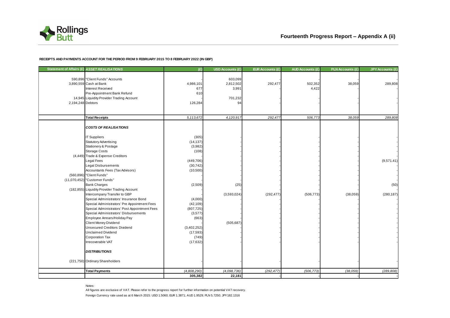

#### **RECEIPTS AND PAYMENTS ACCOUNT FOR THE PERIOD FROM 9 FEBRUARY 2015 TO 8 FEBRUARY 2022 (IN GBP)**

|                   | Statement of Affairs (£) ASSET REALISATIONS                  | (E)                      | USD Accounts (£) | <b>EUR Accounts (£)</b> | <b>AUD Accounts (£)</b> | <b>PLN Accounts (£)</b> | <b>JPY Accounts (£)</b> |
|-------------------|--------------------------------------------------------------|--------------------------|------------------|-------------------------|-------------------------|-------------------------|-------------------------|
|                   | 590,896 "Client Funds" Accounts                              |                          | 603,099          |                         |                         |                         |                         |
|                   | 3,890,559 Cash at Bank                                       | 4,986,101                | 2,812,502        | 292,477                 | 502,352                 | 38,059                  | 289,808                 |
|                   | Interest Received                                            | 677                      | 3,991            |                         | 4,422                   |                         |                         |
|                   | Pre-Appointment Bank Refund                                  | 610                      |                  |                         |                         |                         |                         |
|                   | 14,945 Liquidity Provider Trading Account                    |                          | 701,232          |                         |                         |                         |                         |
| 2,194,248 Debtors |                                                              | 126,284                  | 94               |                         |                         |                         |                         |
|                   |                                                              |                          |                  |                         |                         |                         |                         |
|                   | <b>Total Receipts</b>                                        | 5,113,672                | 4,120,917        | 292,477                 | 506,773                 | 38,059                  | 289,808                 |
|                   | <b>COSTS OF REALISATIONS</b>                                 |                          |                  |                         |                         |                         |                         |
|                   |                                                              |                          |                  |                         |                         |                         |                         |
|                   | <b>IT Suppliers</b>                                          | (305)                    |                  |                         |                         |                         |                         |
|                   | <b>Statutory Advertising</b>                                 | (14, 137)                |                  |                         |                         |                         |                         |
|                   | Stationery & Postage                                         | (3,982)                  |                  |                         |                         |                         |                         |
|                   | Storage Costs                                                | (108)                    |                  |                         |                         |                         |                         |
|                   | (4,449) Trade & Expense Creditors                            |                          |                  |                         |                         |                         |                         |
|                   | Legal Fees                                                   | (449, 706)               |                  |                         |                         |                         | (9,571.41)              |
|                   | Legal Disbursements                                          | (30, 742)                |                  |                         |                         |                         |                         |
|                   | Accountants Fees (Tax Advisors)                              | (10, 500)                |                  |                         |                         |                         |                         |
|                   | (560,896) "Client Funds"                                     |                          |                  |                         |                         |                         |                         |
|                   | (11,070,452) "Customer Funds"                                |                          |                  |                         |                         |                         |                         |
|                   | <b>Bank Charges</b>                                          | (2,509)                  | (25)             |                         |                         |                         | (50)                    |
|                   | (182,855) Liquidity Provider Trading Account                 |                          |                  |                         |                         |                         |                         |
|                   | Intercompany Transfer to GBP                                 |                          | (3,593,024)      | (292, 477)              | (506, 773)              | (38,059)                | (280, 187)              |
|                   | Special Administrators' Insurance Bond                       | (4,000)                  |                  |                         |                         |                         |                         |
|                   | Special Administrators' Pre Appointment Fees                 | (42, 109)                |                  |                         |                         |                         |                         |
|                   | Special Administrators' Post Appointment Fees                | (807, 725)               |                  |                         |                         |                         |                         |
|                   | Special Administrators' Disbursements                        | (3,577)                  |                  |                         |                         |                         |                         |
|                   | Employee Arrears/Holiday Pay                                 | (663)                    |                  |                         |                         |                         |                         |
|                   | Client Money Dividend<br><b>Unsecured Creditors Dividend</b> |                          | (505, 687)       |                         |                         |                         |                         |
|                   | <b>Unclaimed Dividend</b>                                    | (3,402,252)<br>(17, 593) |                  |                         |                         |                         |                         |
|                   | Corporation Tax                                              | (749)                    |                  |                         |                         |                         |                         |
|                   | Irrecoverable VAT                                            | (17, 632)                |                  |                         |                         |                         |                         |
|                   |                                                              |                          |                  |                         |                         |                         |                         |
|                   | <b>DISTRIBUTIONS</b>                                         |                          |                  |                         |                         |                         |                         |
|                   | (221,750) Ordinary Shareholders                              |                          |                  |                         |                         |                         |                         |
|                   | <b>Total Payments</b>                                        | (4,808,290)              | (4,098,736)      | (292, 477)              | (506, 773)              | (38, 059)               | (289, 808)              |
|                   |                                                              | 305,382                  | 22,181           |                         |                         |                         |                         |

Notes:

Foreign Currency rate used as at 6 March 2015: USD 1.5060; EUR 1.3871; AUD 1.9529; PLN 5.7250; JPY182.1316 All figures are exclusive of VAT. Please refer to the progress report for further information on potential VAT recovery.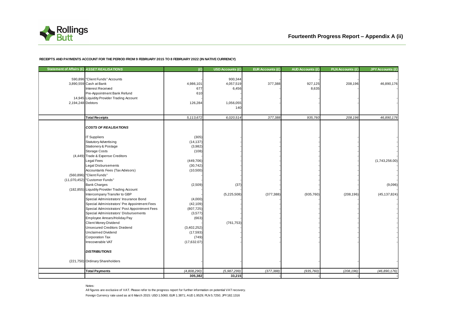

#### **RECEIPTS AND PAYMENTS ACCOUNT FOR THE PERIOD FROM 9 FEBRUARY 2015 TO 8 FEBRUARY 2022 (IN NATIVE CURRENCY)**

|                   | Statement of Affairs (£) ASSET REALISATIONS                            | (E)         | <b>USD Accounts (£)</b> | <b>EUR Accounts (£)</b> | <b>AUD Accounts (£)</b> | <b>PLN Accounts (£)</b> | <b>JPY Accounts (£)</b> |
|-------------------|------------------------------------------------------------------------|-------------|-------------------------|-------------------------|-------------------------|-------------------------|-------------------------|
|                   | 590,896 "Client Funds" Accounts                                        |             | 900,344                 |                         |                         |                         |                         |
|                   | 3,890,559 Cash at Bank                                                 | 4,986,101   | 4,057,519               | 377,388                 | 927,125                 | 208,196                 | 46,890,176              |
|                   | Interest Received                                                      | 677         | 6,456                   |                         | 8,635                   |                         |                         |
|                   | Pre-Appointment Bank Refund                                            | 610         |                         |                         |                         |                         |                         |
|                   | 14,945 Liquidity Provider Trading Account                              |             |                         |                         |                         |                         |                         |
| 2,194,248 Debtors |                                                                        | 126,284     | 1,056,055               |                         |                         |                         |                         |
|                   |                                                                        |             | 140                     |                         |                         |                         |                         |
|                   | <b>Total Receipts</b>                                                  | 5,113,672   | 6,020,514               | 377,388                 | 935,760                 | 208,196                 | 46,890,176              |
|                   |                                                                        |             |                         |                         |                         |                         |                         |
|                   | <b>COSTS OF REALISATIONS</b>                                           |             |                         |                         |                         |                         |                         |
|                   | <b>IT Suppliers</b>                                                    | (305)       |                         |                         |                         |                         |                         |
|                   | <b>Statutory Advertising</b>                                           | (14, 137)   |                         |                         |                         |                         |                         |
|                   | Stationery & Postage                                                   | (3,982)     |                         |                         |                         |                         |                         |
|                   | <b>Storage Costs</b>                                                   | (108)       |                         |                         |                         |                         |                         |
|                   | (4,449) Trade & Expense Creditors                                      |             |                         |                         |                         |                         |                         |
|                   | <b>Legal Fees</b>                                                      | (449, 706)  |                         |                         |                         |                         | (1,743,256.00)          |
|                   | <b>Legal Disbursements</b>                                             | (30, 742)   |                         |                         |                         |                         |                         |
|                   | Accountants Fees (Tax Advisors)                                        | (10, 500)   |                         |                         |                         |                         |                         |
|                   | (560,896) "Client Funds"                                               |             |                         |                         |                         |                         |                         |
|                   | (11,070,452) "Customer Funds"                                          |             |                         |                         |                         |                         |                         |
|                   | <b>Bank Charges</b>                                                    | (2,509)     | (37)                    |                         |                         |                         | (9,096)                 |
|                   | (182,855) Liquidity Provider Trading Account                           |             |                         |                         |                         |                         |                         |
|                   | Intercompany Transfer to GBP<br>Special Administrators' Insurance Bond | (4,000)     | (5,225,508)             | (377, 388)              | (935, 760)              | (208, 196)              | (45, 137, 824)          |
|                   | Special Administrators' Pre Appointment Fees                           | (42, 109)   |                         |                         |                         |                         |                         |
|                   | Special Administrators' Post Appointment Fees                          | (807, 725)  |                         |                         |                         |                         |                         |
|                   | Special Administrators' Disbursements                                  | (3, 577)    |                         |                         |                         |                         |                         |
|                   | Employee Arrears/Holiday Pay                                           | (663)       |                         |                         |                         |                         |                         |
|                   | Client Money Dividend                                                  |             | (761, 753)              |                         |                         |                         |                         |
|                   | <b>Unsecured Creditors Dividend</b>                                    | (3,402,252) |                         |                         |                         |                         |                         |
|                   | <b>Unclaimed Dividend</b>                                              | (17, 593)   |                         |                         |                         |                         |                         |
|                   | <b>Corporation Tax</b>                                                 | (749)       |                         |                         |                         |                         |                         |
|                   | Irrecoverable VAT                                                      | (17,632.07) |                         |                         |                         |                         |                         |
|                   | <b>DISTRIBUTIONS</b>                                                   |             |                         |                         |                         |                         |                         |
|                   |                                                                        |             |                         |                         |                         |                         |                         |
|                   | (221,750) Ordinary Shareholders                                        |             |                         |                         |                         |                         |                         |
|                   | <b>Total Payments</b>                                                  | (4,808,290) | (5,987,299)             | (377, 388)              | (935, 760)              | (208, 196)              | (46,890,176)            |
|                   |                                                                        | 305,382     | 33,215                  |                         |                         |                         |                         |

Notes:

Foreign Currency rate used as at 6 March 2015: USD 1.5060; EUR 1.3871; AUD 1.9529; PLN 5.7250; JPY182.1316 All figures are exclusive of VAT. Please refer to the progress report for further information on potential VAT recovery.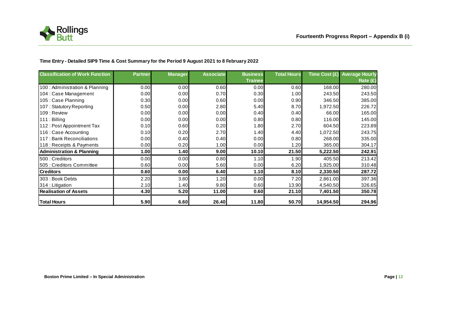

### **Time Entry - Detailed SIP9 Time & Cost Summary for the Period 9 August 2021 to 8 February 2022**

| <b>Classification of Work Function</b> | <b>Partner</b> | <b>Manager</b> | <b>Associate</b> | <b>Business</b><br><b>Trainee</b> | <b>Total Hours</b> |           | Time Cost $(E)$ Average Hourly<br>Rate (£) |
|----------------------------------------|----------------|----------------|------------------|-----------------------------------|--------------------|-----------|--------------------------------------------|
| 100 : Administration & Planning        | 0.00           | 0.00           | 0.60             | 0.00                              | 0.60               | 168.00    | 280.00                                     |
| 104 : Case Management                  | 0.00           | 0.00           | 0.70             | 0.30                              | 1.00               | 243.50    | 243.50                                     |
| 105 : Case Planning                    | 0.30           | 0.00           | 0.60             | 0.00                              | 0.90               | 346.50    | 385.00                                     |
| 107: Statutory Reporting               | 0.50           | 0.00           | 2.80             | 5.40                              | 8.70               | 1,972.50  | 226.72                                     |
| 109 : Review                           | 0.00           | 0.00           | 0.00             | 0.40                              | 0.40               | 66.00     | 165.00                                     |
| 111: Billing                           | 0.00           | 0.00           | 0.00             | 0.80                              | 0.80               | 116.00    | 145.00                                     |
| 112: Post Appointment Tax              | 0.10           | 0.60           | 0.20             | 1.80                              | 2.70               | 604.50    | 223.89                                     |
| 116 : Case Accounting                  | 0.10           | 0.20           | 2.70             | 1.40                              | 4.40               | 1,072.50  | 243.75                                     |
| 117 : Bank Reconciliations             | 0.00           | 0.40           | 0.40             | 0.00                              | 0.80               | 268.00    | 335.00                                     |
| 118 : Receipts & Payments              | 0.00           | 0.20           | 1.00             | 0.00                              | 1.20               | 365.00    | 304.17                                     |
| <b>Administration &amp; Planning</b>   | 1.00           | 1.40           | 9.00             | 10.10                             | 21.50              | 5,222.50  | 242.91                                     |
| 500 : Creditors                        | 0.00           | 0.00           | 0.80             | 1.10                              | 1.90               | 405.50    | 213.42                                     |
| 505 : Creditors Committee              | 0.60           | 0.00           | 5.60             | 0.00                              | 6.20               | 1,925.00  | 310.48                                     |
| <b>Creditors</b>                       | 0.60           | 0.00           | 6.40             | 1.10                              | 8.10               | 2,330.50  | 287.72                                     |
| 303 : Book Debts                       | 2.20           | 3.80           | 1.20             | 0.00                              | 7.20               | 2,861.00  | 397.36                                     |
| 314: Litigation                        | 2.10           | 1.40           | 9.80             | 0.60                              | 13.90              | 4,540.50  | 326.65                                     |
| <b>Realisation of Assets</b>           | 4.30           | 5.20           | 11.00            | 0.60                              | 21.10              | 7,401.50  | 350.78                                     |
| <b>Total Hours</b>                     | 5.90           | 6.60           | 26.40            | 11.80                             | 50.70              | 14,954.50 | 294.96                                     |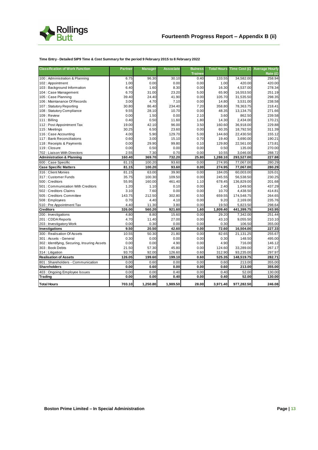

### **Time Entry - Detailed SIP9 Time & Cost Summary for the period 9 February 2015 to 8 February 2022**

| <b>Classification of Work Function</b>      | <b>Partner</b> | <b>Manager</b> | <b>Associate</b> | <b>Buiness</b> |          | Total Hours Time Cost (£) | <b>Average Hourly</b> |
|---------------------------------------------|----------------|----------------|------------------|----------------|----------|---------------------------|-----------------------|
|                                             |                |                |                  | <b>Trainee</b> |          |                           | Rate $(E)$            |
| 100 : Administration & Planning             | 6.75           | 96.30          | 30.10            | 0.40           | 133.55   | 34,582.00                 | 258.94                |
| 102: Appointment                            | 1.00           | 0.00           | 0.00             | 0.00           | 1.00     | 420.00                    | 420.00                |
| 103 : Background Information                | 6.40           | 1.60           | 8.30             | 0.00           | 16.30    | 4,537.00                  | 278.34                |
| 104 : Case Management                       | 6.70           | 31.00          | 23.20            | 5.00           | 65.90    | 16,553.50                 | 251.19                |
| 105 : Case Planning                         | 39.40          | 24.40          | 41.90            | 0.00           | 105.70   | 31,535.50                 | 298.35                |
| 106 : Maintanance Of Records                | 3.00           | 4.70           | 7.10             | 0.00           | 14.80    | 3,531.00                  | 238.58                |
| 107: Statutory Reporting                    | 30.80          | 86.40          | 234.40           | 7.20           | 358.80   | 78,363.75                 | 218.41                |
| 108: Statutory Compliance                   | 9.55           | 28.10          | 10.70            | 0.00           | 48.35    | 13,134.75                 | 271.66                |
| 109 : Review                                | 0.00           | 1.50           | 0.00             | 2.10           | 3.60     | 862.50                    | 239.58                |
| 111: Billing                                | 0.40           | 0.50           | 11.60            | 1.80           | 14.30    | 2,434.00                  | 170.21                |
| 112: Post Appointment Tax                   | 19.00          | 42.10          | 96.00            | 3.50           | 160.60   | 36,918.00                 | 229.88                |
| 115: Meetings                               | 30.25          | 6.50           | 23.60            | 0.00           | 60.35    | 18,792.50                 | 311.39                |
| 116 : Case Accounting                       | 4.00           | 5.90           | 129.70           | 5.00           | 144.60   | 22,430.50                 | 155.12                |
| 117: Bank Reconciliations                   | 0.60           | 3.00           | 15.10            | 0.70           | 19.40    | 3,690.00                  | 190.21                |
| 118 : Receipts & Payments                   | 0.00           | 29.90          | 99.80            | 0.10           | 129.80   | 22,561.00                 | 173.81                |
| 119: Closure                                | 0.00           | 0.50           | 0.00             | 0.00           | 0.50     | 135.00                    | 270.00                |
| 702 : Liaison With Directors                | 2.55           | 7.30           | 0.70             | 0.00           | 10.55    | 3,046.00                  | 288.72                |
| <b>Administration &amp; Planning</b>        | 160.40         | 369.70         | 732.20           | 25.80          | 1,288.10 | 293,527.00                | 227.88                |
| 600 : Case Specific                         | 81.15          | 100.20         | 93.60            | 0.00           | 274.95   | 77,067.00                 | 280.29                |
| <b>Case Specific Matters</b>                | 81.15          | 100.20         | 93.60            | 0.00           | 274.95   | 77,067.00                 | 280.29                |
| 316 : Client Monies                         | 81.15          | 63.00          | 39.90            | 0.00           | 184.05   | 60,003.00                 | 326.01                |
| 317: Customer Funds                         | 35.75          | 100.30         | 109.50           | 0.00           | 245.55   | 56,538.50                 | 230.25                |
| 500 : Creditors                             | 55.95          | 160.00         | 461.40           | 1.10           | 678.45   | 136,829.00                | 201.68                |
| 501: Communication With Creditors           | 1.20           | 1.10           | 0.10             | 0.00           | 2.40     | 1,049.50                  | 437.29                |
| 502 : Creditors Claims                      | 3.10           | 7.60           | 0.00             | 0.00           | 10.70    | 4,438.50                  | 414.81                |
| 505 : Creditors Committee                   | 143.75         | 212.50         | 302.80           | 0.50           | 659.55   | 174,548.75                | 264.65                |
| 508 : Employees                             | 0.70           | 4.40           | 4.10             | 0.00           | 9.20     | 2,169.00                  | 235.76                |
| 510 : Pre Appointment Tax                   | 4.40           | 11.30          | 3.80             | 0.00           | 19.50    | 5,823.50                  | 298.64                |
| <b>Creditors</b>                            | 326.00         | 560.20         | 921.60           | 1.60           | 1,809.40 | 441,399.75                | 243.95                |
| 200 : Investigations                        | 4.80           | 8.80           | 15.60            | 0.00           | 29.20    | 7,342.00                  | 251.44                |
| 201: CDDA Reports                           | 4.70           | 11.40          | 27.00            | 0.00           | 43.10    | 9,055.50                  | 210.10                |
| 203 : Investigatory Work                    | 0.00           | 0.30           | 0.00             | 0.00           | 0.30     | 106.50                    | 355.00                |
| Investigations                              | 9.50           | 20.50          | 42.60            | 0.00           | 72.60    | 16,504.00                 | 227.33                |
| 300 : Realisation Of Assets                 | 10.55          | 50.30          | 21.80            | 0.00           | 82.65    | 21,131.25                 | 255.67                |
| 301 : Assets - General                      | 0.30           | 0.00           | 0.00             | 0.00           | 0.30     | 148.50                    | 495.00                |
| 302: Identifying, Securing, Insuring Assets | 0.00           | 0.00           | 4.90             | 0.00           | 4.90     | 716.00                    | 146.12                |
| 303 : Book Debts                            | 21.50          | 57.30          | 45.80            | 0.00           | 124.60   | 33,289.00                 | 267.17                |
| 314 : Litigation                            | 93.70          | 92.00          | 126.60           | 0.60           | 312.90   | 93,235.00                 | 297.97                |
| <b>Realisation of Assets</b>                | 126.05         | 199.60         | 199.10           | 0.60           | 525.35   | 148,519.75                | 282.71                |
| 801 : Shareholders - Communication          | 0.00           | 0.60           | 0.00             | 0.00           | 0.60     | 213.00                    | 355.00                |
| <b>Shareholders</b>                         | 0.00           | 0.60           | 0.00             | 0.00           | 0.60     | 213.00                    | 355.00                |
| 403: Ongoing Employee Issues                | 0.00           | 0.00           | 0.40             | 0.00           | 0.40     | 52.00                     | 130.00                |
| <b>Trading</b>                              | 0.00           | 0.00           | 0.40             | 0.00           | 0.40     | 52.00                     | 130.00                |
| <b>Total Hours</b>                          | 703.10         | 1,250.80       | 1,989.50         | 28.00          | 3,971.40 | 977,282.50                | 246.08                |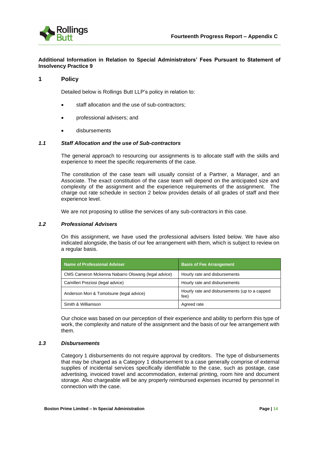

## **Additional Information in Relation to Special Administrators' Fees Pursuant to Statement of Insolvency Practice 9**

### **1 Policy**

Detailed below is Rollings Butt LLP's policy in relation to:

- staff allocation and the use of sub-contractors;
- professional advisers; and
- disbursements

#### *1.1 Staff Allocation and the use of Sub-contractors*

The general approach to resourcing our assignments is to allocate staff with the skills and experience to meet the specific requirements of the case.

The constitution of the case team will usually consist of a Partner, a Manager, and an Associate. The exact constitution of the case team will depend on the anticipated size and complexity of the assignment and the experience requirements of the assignment. The charge out rate schedule in section 2 below provides details of all grades of staff and their experience level.

We are not proposing to utilise the services of any sub-contractors in this case.

#### *1.2 Professional Advisers*

On this assignment, we have used the professional advisers listed below. We have also indicated alongside, the basis of our fee arrangement with them, which is subject to review on a regular basis.

| <b>Name of Professional Adviser</b>                | <b>Basis of Fee Arrangement</b>                       |
|----------------------------------------------------|-------------------------------------------------------|
| CMS Cameron Mckenna Nabarro Olswang (legal advice) | Hourly rate and disbursements                         |
| Camilleri Preziosi (legal advice)                  | Hourly rate and disbursements                         |
| Anderson Mori & Tomotsune (legal advice)           | Hourly rate and disbursements (up to a capped<br>fee) |
| Smith & Williamson                                 | Agreed rate                                           |

Our choice was based on our perception of their experience and ability to perform this type of work, the complexity and nature of the assignment and the basis of our fee arrangement with them.

#### *1.3 Disbursements*

Category 1 disbursements do not require approval by creditors. The type of disbursements that may be charged as a Category 1 disbursement to a case generally comprise of external supplies of incidental services specifically identifiable to the case, such as postage, case advertising, invoiced travel and accommodation, external printing, room hire and document storage. Also chargeable will be any properly reimbursed expenses incurred by personnel in connection with the case.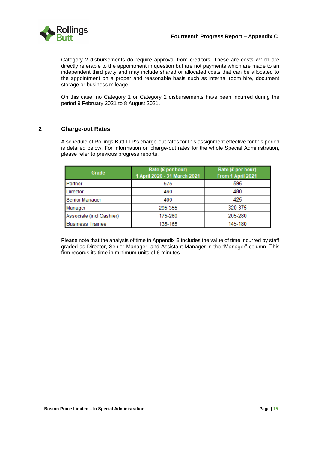

Category 2 disbursements do require approval from creditors. These are costs which are directly referable to the appointment in question but are not payments which are made to an independent third party and may include shared or allocated costs that can be allocated to the appointment on a proper and reasonable basis such as internal room hire, document storage or business mileage.

On this case, no Category 1 or Category 2 disbursements have been incurred during the period 9 February 2021 to 8 August 2021.

## **2 Charge-out Rates**

A schedule of Rollings Butt LLP's charge-out rates for this assignment effective for this period is detailed below. For information on charge-out rates for the whole Special Administration, please refer to previous progress reports.

| Grade                    | Rate (£ per hour)<br>1 April 2020 - 31 March 2021 | Rate (£ per hour)<br>From 1 April 2021 |
|--------------------------|---------------------------------------------------|----------------------------------------|
| Partner                  | 575                                               | 595                                    |
| <b>Director</b>          | 460                                               | 480                                    |
| Senior Manager           | 400                                               | 425                                    |
| Manager                  | 295-355                                           | 320-375                                |
| Associate (incl Cashier) | 175-260                                           | 205-280                                |
| <b>Business Trainee</b>  | 135-165                                           | 145-180                                |

Please note that the analysis of time in Appendix B includes the value of time incurred by staff graded as Director, Senior Manager, and Assistant Manager in the "Manager" column. This firm records its time in minimum units of 6 minutes.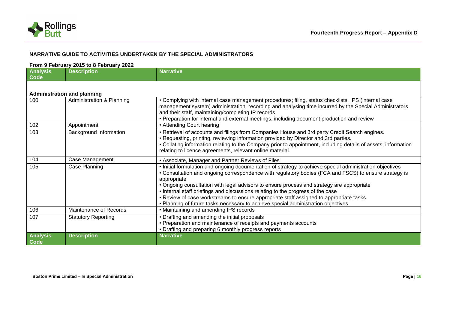

## **NARRATIVE GUIDE TO ACTIVITIES UNDERTAKEN BY THE SPECIAL ADMINISTRATORS**

#### **From 9 February 2015 to 8 February 2022**

| <b>Analysis</b><br>Code | <b>Description</b>                 | <b>Narrative</b>                                                                                                                                                                                                                                                                                                                                                                                                                                                                                           |
|-------------------------|------------------------------------|------------------------------------------------------------------------------------------------------------------------------------------------------------------------------------------------------------------------------------------------------------------------------------------------------------------------------------------------------------------------------------------------------------------------------------------------------------------------------------------------------------|
|                         |                                    |                                                                                                                                                                                                                                                                                                                                                                                                                                                                                                            |
|                         | <b>Administration and planning</b> |                                                                                                                                                                                                                                                                                                                                                                                                                                                                                                            |
| 100                     | Administration & Planning          | • Complying with internal case management procedures; filing, status checklists, IPS (internal case<br>management system) administration, recording and analysing time incurred by the Special Administrators<br>and their staff, maintaining/completing IP records<br>• Preparation for internal and external meetings, including document production and review                                                                                                                                          |
| 102                     | Appointment                        | • Attending Court hearing                                                                                                                                                                                                                                                                                                                                                                                                                                                                                  |
| 103                     | Background Information             | • Retrieval of accounts and filings from Companies House and 3rd party Credit Search engines.<br>• Requesting, printing, reviewing information provided by Director and 3rd parties.<br>• Collating information relating to the Company prior to appointment, including details of assets, information<br>relating to licence agreements, relevant online material.                                                                                                                                        |
| 104                     | Case Management                    | • Associate, Manager and Partner Reviews of Files                                                                                                                                                                                                                                                                                                                                                                                                                                                          |
| 105                     | Case Planning                      | . Initial formulation and ongoing documentation of strategy to achieve special administration objectives<br>• Consultation and ongoing correspondence with regulatory bodies (FCA and FSCS) to ensure strategy is<br>appropriate<br>• Ongoing consultation with legal advisors to ensure process and strategy are appropriate<br>. Internal staff briefings and discussions relating to the progress of the case<br>• Review of case workstreams to ensure appropriate staff assigned to appropriate tasks |
|                         |                                    | • Planning of future tasks necessary to achieve special administration objectives                                                                                                                                                                                                                                                                                                                                                                                                                          |
| 106                     | Maintenance of Records             | • Maintaining and amending IPS records                                                                                                                                                                                                                                                                                                                                                                                                                                                                     |
| 107                     | <b>Statutory Reporting</b>         | • Drafting and amending the initial proposals<br>• Preparation and maintenance of receipts and payments accounts<br>• Drafting and preparing 6 monthly progress reports                                                                                                                                                                                                                                                                                                                                    |
| <b>Analysis</b><br>Code | <b>Description</b>                 | <b>Narrative</b>                                                                                                                                                                                                                                                                                                                                                                                                                                                                                           |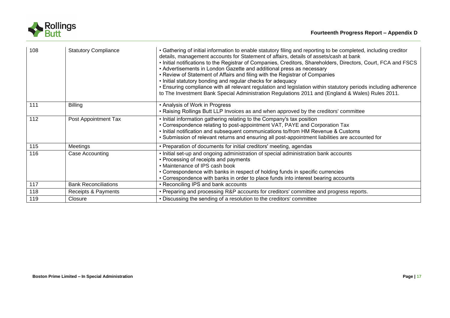

| 108 | <b>Statutory Compliance</b> | • Gathering of initial information to enable statutory filing and reporting to be completed, including creditor<br>details, management accounts for Statement of affairs, details of assets/cash at bank<br>. Initial notifications to the Registrar of Companies, Creditors, Shareholders, Directors, Court, FCA and FSCS<br>• Advertisements in London Gazette and additional press as necessary<br>• Review of Statement of Affairs and filing with the Registrar of Companies<br>. Initial statutory bonding and regular checks for adequacy<br>. Ensuring compliance with all relevant regulation and legislation within statutory periods including adherence<br>to The Investment Bank Special Administration Regulations 2011 and (England & Wales) Rules 2011. |
|-----|-----------------------------|-------------------------------------------------------------------------------------------------------------------------------------------------------------------------------------------------------------------------------------------------------------------------------------------------------------------------------------------------------------------------------------------------------------------------------------------------------------------------------------------------------------------------------------------------------------------------------------------------------------------------------------------------------------------------------------------------------------------------------------------------------------------------|
| 111 | <b>Billing</b>              | • Analysis of Work in Progress<br>• Raising Rollings Butt LLP Invoices as and when approved by the creditors' committee                                                                                                                                                                                                                                                                                                                                                                                                                                                                                                                                                                                                                                                 |
| 112 | Post Appointment Tax        | . Initial information gathering relating to the Company's tax position<br>• Correspondence relating to post-appointment VAT, PAYE and Corporation Tax<br>. Initial notification and subsequent communications to/from HM Revenue & Customs<br>• Submission of relevant returns and ensuring all post-appointment liabilities are accounted for                                                                                                                                                                                                                                                                                                                                                                                                                          |
| 115 | Meetings                    | • Preparation of documents for initial creditors' meeting, agendas                                                                                                                                                                                                                                                                                                                                                                                                                                                                                                                                                                                                                                                                                                      |
| 116 | Case Accounting             | . Initial set-up and ongoing administration of special administration bank accounts<br>• Processing of receipts and payments<br>• Maintenance of IPS cash book<br>• Correspondence with banks in respect of holding funds in specific currencies<br>• Correspondence with banks in order to place funds into interest bearing accounts                                                                                                                                                                                                                                                                                                                                                                                                                                  |
| 117 | <b>Bank Reconciliations</b> | • Reconciling IPS and bank accounts                                                                                                                                                                                                                                                                                                                                                                                                                                                                                                                                                                                                                                                                                                                                     |
| 118 | Receipts & Payments         | • Preparing and processing R&P accounts for creditors' committee and progress reports.                                                                                                                                                                                                                                                                                                                                                                                                                                                                                                                                                                                                                                                                                  |
| 119 | Closure                     | • Discussing the sending of a resolution to the creditors' committee                                                                                                                                                                                                                                                                                                                                                                                                                                                                                                                                                                                                                                                                                                    |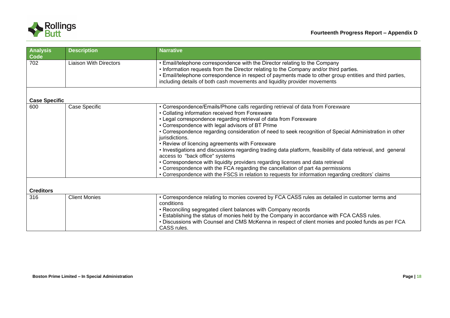

| <b>Analysis</b><br>Code | <b>Description</b>            | <b>Narrative</b>                                                                                                                                                                                                                                                                                                                                                                                                                                                                                                                                                                                                                                                                                                                                                                                                                                                          |
|-------------------------|-------------------------------|---------------------------------------------------------------------------------------------------------------------------------------------------------------------------------------------------------------------------------------------------------------------------------------------------------------------------------------------------------------------------------------------------------------------------------------------------------------------------------------------------------------------------------------------------------------------------------------------------------------------------------------------------------------------------------------------------------------------------------------------------------------------------------------------------------------------------------------------------------------------------|
| 702                     | <b>Liaison With Directors</b> | • Email/telephone correspondence with the Director relating to the Company<br>• Information requests from the Director relating to the Company and/or third parties.<br>• Email/telephone correspondence in respect of payments made to other group entities and third parties,<br>including details of both cash movements and liquidity provider movements                                                                                                                                                                                                                                                                                                                                                                                                                                                                                                              |
| <b>Case Specific</b>    |                               |                                                                                                                                                                                                                                                                                                                                                                                                                                                                                                                                                                                                                                                                                                                                                                                                                                                                           |
| 600                     | Case Specific                 | • Correspondence/Emails/Phone calls regarding retrieval of data from Forexware<br>• Collating information received from Forexware<br>• Legal correspondence regarding retrieval of data from Forexware<br>• Correspondence with legal advisors of BT Prime<br>• Correspondence regarding consideration of need to seek recognition of Special Administration in other<br>jurisdictions.<br>• Review of licencing agreements with Forexware<br>. Investigations and discussions regarding trading data platform, feasibility of data retrieval, and general<br>access to "back office" systems<br>• Correspondence with liquidity providers regarding licenses and data retrieval<br>• Correspondence with the FCA regarding the cancellation of part 4a permissions<br>• Correspondence with the FSCS in relation to requests for information regarding creditors' claims |
| <b>Creditors</b>        |                               |                                                                                                                                                                                                                                                                                                                                                                                                                                                                                                                                                                                                                                                                                                                                                                                                                                                                           |
| 316                     | <b>Client Monies</b>          | • Correspondence relating to monies covered by FCA CASS rules as detailed in customer terms and<br>conditions<br>• Reconciling segregated client balances with Company records<br>. Establishing the status of monies held by the Company in accordance with FCA CASS rules.<br>. Discussions with Counsel and CMS McKenna in respect of client monies and pooled funds as per FCA<br>CASS rules.                                                                                                                                                                                                                                                                                                                                                                                                                                                                         |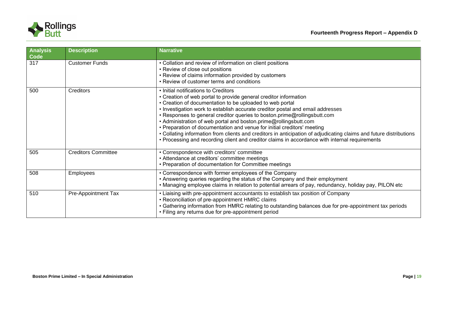

| <b>Analysis</b><br>Code | <b>Description</b>         | <b>Narrative</b>                                                                                                                                                                                                                                                                                                                                                                                                                                                                                                                                                                                                                                                                                          |
|-------------------------|----------------------------|-----------------------------------------------------------------------------------------------------------------------------------------------------------------------------------------------------------------------------------------------------------------------------------------------------------------------------------------------------------------------------------------------------------------------------------------------------------------------------------------------------------------------------------------------------------------------------------------------------------------------------------------------------------------------------------------------------------|
| 317                     | <b>Customer Funds</b>      | • Collation and review of information on client positions<br>• Review of close out positions<br>• Review of claims information provided by customers<br>• Review of customer terms and conditions                                                                                                                                                                                                                                                                                                                                                                                                                                                                                                         |
| 500                     | Creditors                  | • Initial notifications to Creditors<br>• Creation of web portal to provide general creditor information<br>• Creation of documentation to be uploaded to web portal<br>. Investigation work to establish accurate creditor postal and email addresses<br>• Responses to general creditor queries to boston.prime@rollingsbutt.com<br>• Administration of web portal and boston.prime@rollingsbutt.com<br>• Preparation of documentation and venue for initial creditors' meeting<br>• Collating information from clients and creditors in anticipation of adjudicating claims and future distributions<br>• Processing and recording client and creditor claims in accordance with internal requirements |
| 505                     | <b>Creditors Committee</b> | • Correspondence with creditors' committee<br>• Attendance at creditors' committee meetings<br>• Preparation of documentation for Committee meetings                                                                                                                                                                                                                                                                                                                                                                                                                                                                                                                                                      |
| 508                     | Employees                  | • Correspondence with former employees of the Company<br>• Answering queries regarding the status of the Company and their employment<br>• Managing employee claims in relation to potential arrears of pay, redundancy, holiday pay, PILON etc                                                                                                                                                                                                                                                                                                                                                                                                                                                           |
| 510                     | Pre-Appointment Tax        | • Liaising with pre-appointment accountants to establish tax position of Company<br>• Reconciliation of pre-appointment HMRC claims<br>• Gathering information from HMRC relating to outstanding balances due for pre-appointment tax periods<br>• Filing any returns due for pre-appointment period                                                                                                                                                                                                                                                                                                                                                                                                      |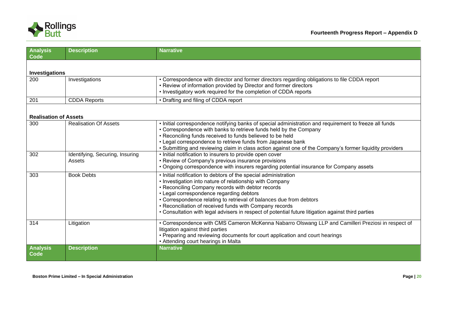

| <b>Analysis</b><br><b>Code</b> | <b>Description</b>                        | <b>Narrative</b>                                                                                                                                                                                                                                                                                                                                                                                                                                                     |
|--------------------------------|-------------------------------------------|----------------------------------------------------------------------------------------------------------------------------------------------------------------------------------------------------------------------------------------------------------------------------------------------------------------------------------------------------------------------------------------------------------------------------------------------------------------------|
| Investigations                 |                                           |                                                                                                                                                                                                                                                                                                                                                                                                                                                                      |
| 200                            | <b>Investigations</b>                     | • Correspondence with director and former directors regarding obligations to file CDDA report<br>• Review of information provided by Director and former directors<br>• Investigatory work required for the completion of CDDA reports                                                                                                                                                                                                                               |
| 201                            | <b>CDDA Reports</b>                       | • Drafting and filing of CDDA report                                                                                                                                                                                                                                                                                                                                                                                                                                 |
| <b>Realisation of Assets</b>   |                                           |                                                                                                                                                                                                                                                                                                                                                                                                                                                                      |
| 300                            | <b>Realisation Of Assets</b>              | . Initial correspondence notifying banks of special administration and requirement to freeze all funds<br>• Correspondence with banks to retrieve funds held by the Company<br>• Reconciling funds received to funds believed to be held<br>• Legal correspondence to retrieve funds from Japanese bank<br>• Submitting and reviewing claim in class action against one of the Company's former liquidity providers                                                  |
| 302                            | Identifying, Securing, Insuring<br>Assets | • Initial notification to insurers to provide open cover<br>• Review of Company's previous insurance provisions<br>• Ongoing correspondence with insurers regarding potential insurance for Company assets                                                                                                                                                                                                                                                           |
| 303                            | <b>Book Debts</b>                         | • Initial notification to debtors of the special administration<br>• Investigation into nature of relationship with Company<br>• Reconciling Company records with debtor records<br>• Legal correspondence regarding debtors<br>• Correspondence relating to retrieval of balances due from debtors<br>• Reconciliation of received funds with Company records<br>• Consultation with legal advisers in respect of potential future litigation against third parties |
| 314                            | Litigation                                | • Correspondence with CMS Cameron McKenna Nabarro Olswang LLP and Camilleri Preziosi in respect of<br>litigation against third parties<br>• Preparing and reviewing documents for court application and court hearings<br>. Attending court hearings in Malta                                                                                                                                                                                                        |
| <b>Analysis</b><br>Code        | <b>Description</b>                        | <b>Narrative</b>                                                                                                                                                                                                                                                                                                                                                                                                                                                     |